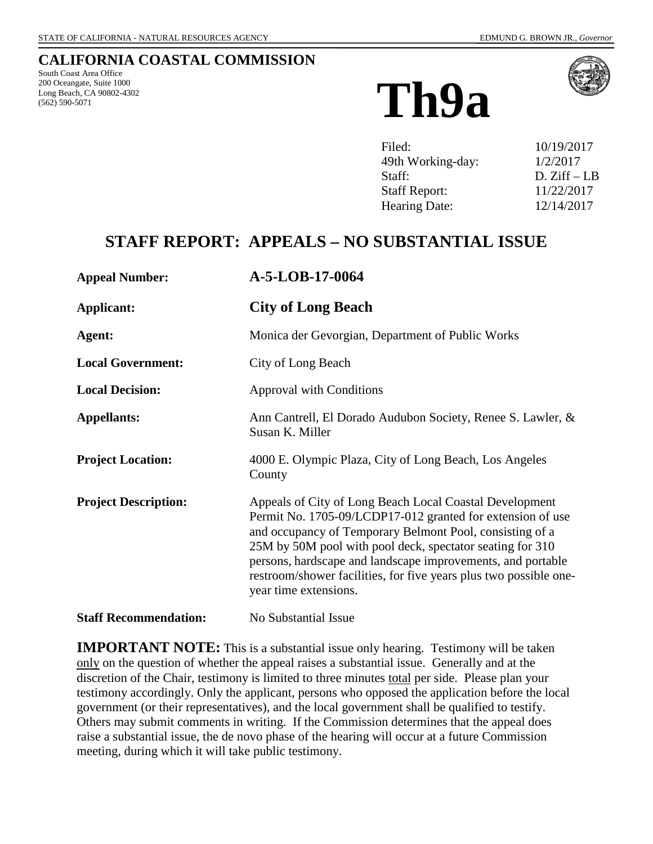### **CALIFORNIA COASTAL COMMISSION**

South Coast Area Office 200 Oceangate, Suite 1000 Long Beach, CA 90802-4302



| 10/19/2017   |
|--------------|
| 1/2/2017     |
| $D. Ziff-LB$ |
| 11/22/2017   |
| 12/14/2017   |
|              |

# **STAFF REPORT: APPEALS – NO SUBSTANTIAL ISSUE**

| <b>Appeal Number:</b>        | A-5-LOB-17-0064                                                                                                                                                                                                                                                                                                                                                                                             |
|------------------------------|-------------------------------------------------------------------------------------------------------------------------------------------------------------------------------------------------------------------------------------------------------------------------------------------------------------------------------------------------------------------------------------------------------------|
| <b>Applicant:</b>            | <b>City of Long Beach</b>                                                                                                                                                                                                                                                                                                                                                                                   |
| Agent:                       | Monica der Gevorgian, Department of Public Works                                                                                                                                                                                                                                                                                                                                                            |
| <b>Local Government:</b>     | City of Long Beach                                                                                                                                                                                                                                                                                                                                                                                          |
| <b>Local Decision:</b>       | <b>Approval with Conditions</b>                                                                                                                                                                                                                                                                                                                                                                             |
| <b>Appellants:</b>           | Ann Cantrell, El Dorado Audubon Society, Renee S. Lawler, &<br>Susan K. Miller                                                                                                                                                                                                                                                                                                                              |
| <b>Project Location:</b>     | 4000 E. Olympic Plaza, City of Long Beach, Los Angeles<br>County                                                                                                                                                                                                                                                                                                                                            |
| <b>Project Description:</b>  | Appeals of City of Long Beach Local Coastal Development<br>Permit No. 1705-09/LCDP17-012 granted for extension of use<br>and occupancy of Temporary Belmont Pool, consisting of a<br>25M by 50M pool with pool deck, spectator seating for 310<br>persons, hardscape and landscape improvements, and portable<br>restroom/shower facilities, for five years plus two possible one-<br>year time extensions. |
| <b>Staff Recommendation:</b> | No Substantial Issue                                                                                                                                                                                                                                                                                                                                                                                        |

**IMPORTANT NOTE:** This is a substantial issue only hearing. Testimony will be taken only on the question of whether the appeal raises a substantial issue. Generally and at the discretion of the Chair, testimony is limited to three minutes total per side. Please plan your testimony accordingly. Only the applicant, persons who opposed the application before the local government (or their representatives), and the local government shall be qualified to testify. Others may submit comments in writing. If the Commission determines that the appeal does raise a substantial issue, the de novo phase of the hearing will occur at a future Commission meeting, during which it will take public testimony.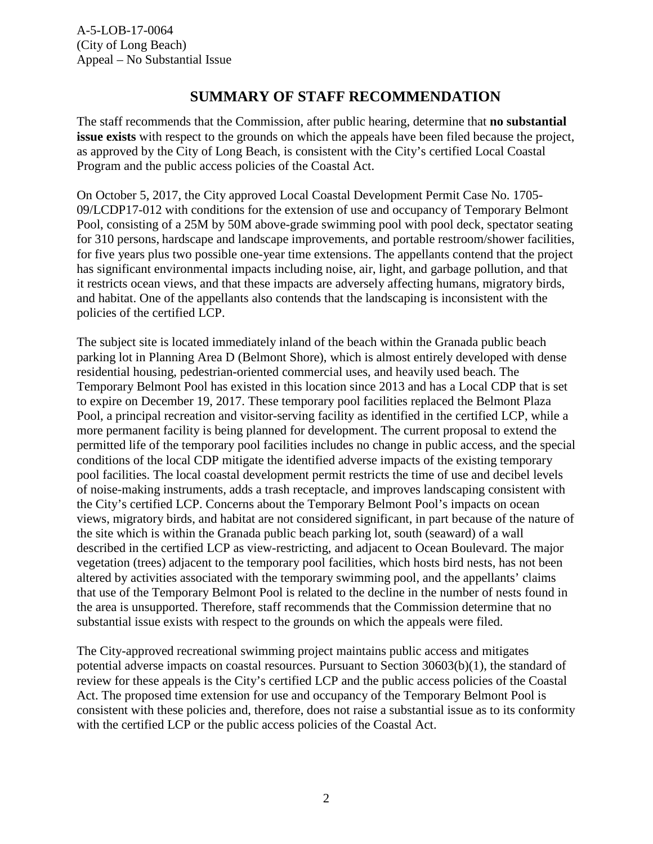## **SUMMARY OF STAFF RECOMMENDATION**

The staff recommends that the Commission, after public hearing, determine that **no substantial issue exists** with respect to the grounds on which the appeals have been filed because the project, as approved by the City of Long Beach, is consistent with the City's certified Local Coastal Program and the public access policies of the Coastal Act.

On October 5, 2017, the City approved Local Coastal Development Permit Case No. 1705- 09/LCDP17-012 with conditions for the extension of use and occupancy of Temporary Belmont Pool, consisting of a 25M by 50M above-grade swimming pool with pool deck, spectator seating for 310 persons, hardscape and landscape improvements, and portable restroom/shower facilities, for five years plus two possible one-year time extensions. The appellants contend that the project has significant environmental impacts including noise, air, light, and garbage pollution, and that it restricts ocean views, and that these impacts are adversely affecting humans, migratory birds, and habitat. One of the appellants also contends that the landscaping is inconsistent with the policies of the certified LCP.

The subject site is located immediately inland of the beach within the Granada public beach parking lot in Planning Area D (Belmont Shore), which is almost entirely developed with dense residential housing, pedestrian-oriented commercial uses, and heavily used beach. The Temporary Belmont Pool has existed in this location since 2013 and has a Local CDP that is set to expire on December 19, 2017. These temporary pool facilities replaced the Belmont Plaza Pool, a principal recreation and visitor-serving facility as identified in the certified LCP, while a more permanent facility is being planned for development. The current proposal to extend the permitted life of the temporary pool facilities includes no change in public access, and the special conditions of the local CDP mitigate the identified adverse impacts of the existing temporary pool facilities. The local coastal development permit restricts the time of use and decibel levels of noise-making instruments, adds a trash receptacle, and improves landscaping consistent with the City's certified LCP. Concerns about the Temporary Belmont Pool's impacts on ocean views, migratory birds, and habitat are not considered significant, in part because of the nature of the site which is within the Granada public beach parking lot, south (seaward) of a wall described in the certified LCP as view-restricting, and adjacent to Ocean Boulevard. The major vegetation (trees) adjacent to the temporary pool facilities, which hosts bird nests, has not been altered by activities associated with the temporary swimming pool, and the appellants' claims that use of the Temporary Belmont Pool is related to the decline in the number of nests found in the area is unsupported. Therefore, staff recommends that the Commission determine that no substantial issue exists with respect to the grounds on which the appeals were filed.

The City-approved recreational swimming project maintains public access and mitigates potential adverse impacts on coastal resources. Pursuant to Section 30603(b)(1), the standard of review for these appeals is the City's certified LCP and the public access policies of the Coastal Act. The proposed time extension for use and occupancy of the Temporary Belmont Pool is consistent with these policies and, therefore, does not raise a substantial issue as to its conformity with the certified LCP or the public access policies of the Coastal Act.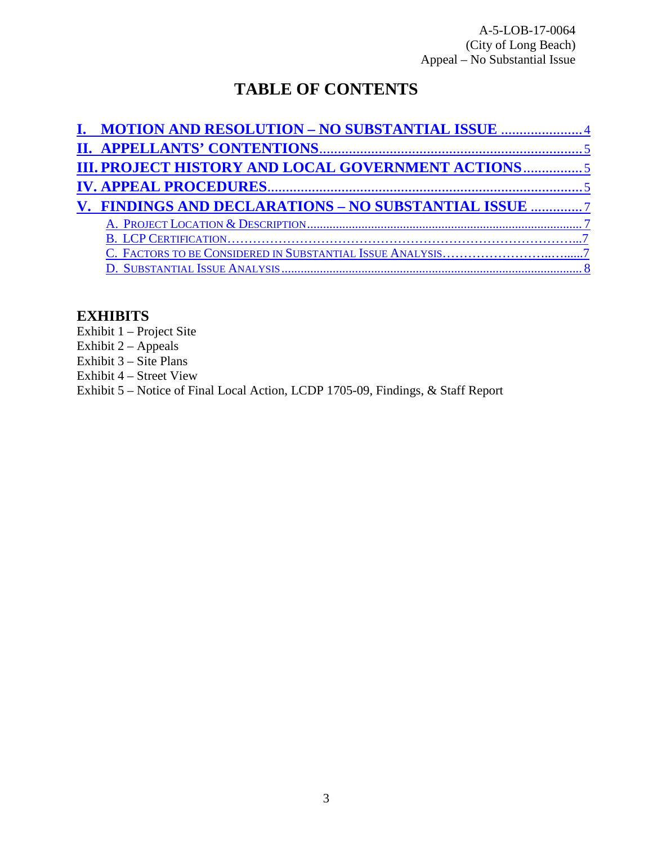A-5-LOB-17-0064 (City of Long Beach) Appeal – No Substantial Issue

# **TABLE OF CONTENTS**

| I. MOTION AND RESOLUTION - NO SUBSTANTIAL ISSUE 4     |
|-------------------------------------------------------|
|                                                       |
|                                                       |
|                                                       |
| V. FINDINGS AND DECLARATIONS - NO SUBSTANTIAL ISSUE 7 |
|                                                       |
|                                                       |
|                                                       |
|                                                       |
|                                                       |

## **EXHIBITS**

Exhibit 1 – Project Site

Exhibit  $2 -$  Appeals

Exhibit  $3 - \text{Site Plans}$ 

Exhibit 4 – Street View

Exhibit 5 – Notice of Final Local Action, LCDP 1705-09, Findings, & Staff Report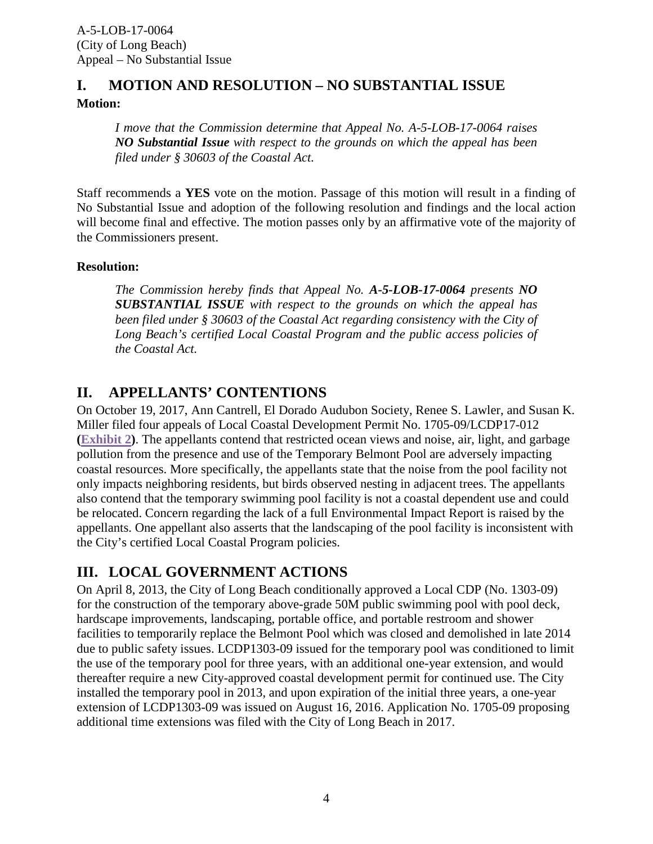### <span id="page-3-0"></span>**I. MOTION AND RESOLUTION – NO SUBSTANTIAL ISSUE Motion:**

*I move that the Commission determine that Appeal No. A-5-LOB-17-0064 raises NO Substantial Issue with respect to the grounds on which the appeal has been filed under § 30603 of the Coastal Act.*

Staff recommends a **YES** vote on the motion. Passage of this motion will result in a finding of No Substantial Issue and adoption of the following resolution and findings and the local action will become final and effective. The motion passes only by an affirmative vote of the majority of the Commissioners present.

#### **Resolution:**

*The Commission hereby finds that Appeal No. A-5-LOB-17-0064 presents NO SUBSTANTIAL ISSUE with respect to the grounds on which the appeal has been filed under § 30603 of the Coastal Act regarding consistency with the City of Long Beach's certified Local Coastal Program and the public access policies of the Coastal Act.*

## <span id="page-3-1"></span>**II. APPELLANTS' CONTENTIONS**

On October 19, 2017, Ann Cantrell, El Dorado Audubon Society, Renee S. Lawler, and Susan K. Miller filed four appeals of Local Coastal Development Permit No. 1705-09/LCDP17-012 **[\(Exhibit 2\)](https://documents.coastal.ca.gov/reports/2017/10/Th8b&c/Th8b&c-10-2017-exhibits.pdf)**. The appellants contend that restricted ocean views and noise, air, light, and garbage pollution from the presence and use of the Temporary Belmont Pool are adversely impacting coastal resources. More specifically, the appellants state that the noise from the pool facility not only impacts neighboring residents, but birds observed nesting in adjacent trees. The appellants also contend that the temporary swimming pool facility is not a coastal dependent use and could be relocated. Concern regarding the lack of a full Environmental Impact Report is raised by the appellants. One appellant also asserts that the landscaping of the pool facility is inconsistent with the City's certified Local Coastal Program policies.

## <span id="page-3-2"></span>**III. LOCAL GOVERNMENT ACTIONS**

On April 8, 2013, the City of Long Beach conditionally approved a Local CDP (No. 1303-09) for the construction of the temporary above-grade 50M public swimming pool with pool deck, hardscape improvements, landscaping, portable office, and portable restroom and shower facilities to temporarily replace the Belmont Pool which was closed and demolished in late 2014 due to public safety issues. LCDP1303-09 issued for the temporary pool was conditioned to limit the use of the temporary pool for three years, with an additional one-year extension, and would thereafter require a new City-approved coastal development permit for continued use. The City installed the temporary pool in 2013, and upon expiration of the initial three years, a one-year extension of LCDP1303-09 was issued on August 16, 2016. Application No. 1705-09 proposing additional time extensions was filed with the City of Long Beach in 2017.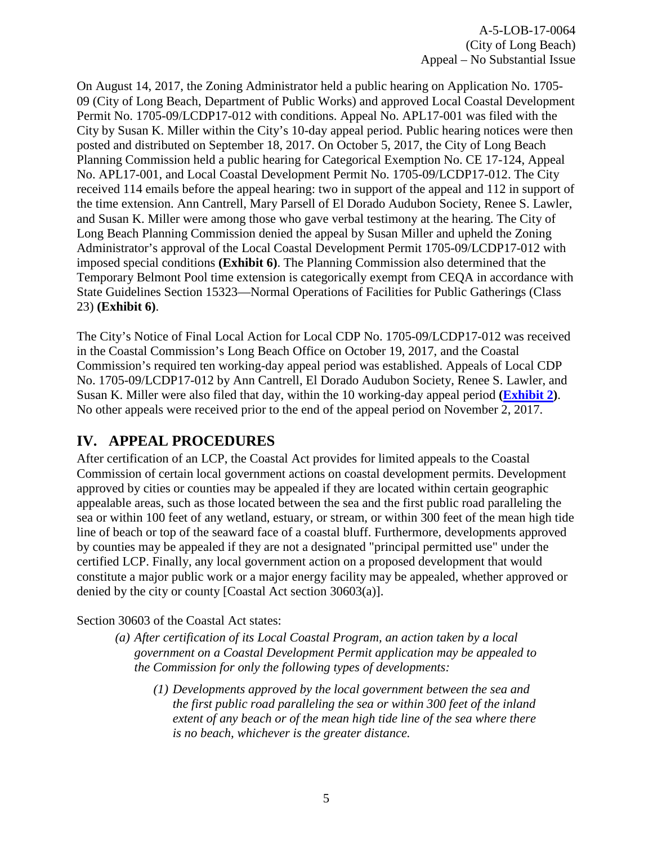A-5-LOB-17-0064 (City of Long Beach) Appeal – No Substantial Issue

On August 14, 2017, the Zoning Administrator held a public hearing on Application No. 1705- 09 (City of Long Beach, Department of Public Works) and approved Local Coastal Development Permit No. 1705-09/LCDP17-012 with conditions. Appeal No. APL17-001 was filed with the City by Susan K. Miller within the City's 10-day appeal period. Public hearing notices were then posted and distributed on September 18, 2017. On October 5, 2017, the City of Long Beach Planning Commission held a public hearing for Categorical Exemption No. CE 17-124, Appeal No. APL17-001, and Local Coastal Development Permit No. 1705-09/LCDP17-012. The City received 114 emails before the appeal hearing: two in support of the appeal and 112 in support of the time extension. Ann Cantrell, Mary Parsell of El Dorado Audubon Society, Renee S. Lawler, and Susan K. Miller were among those who gave verbal testimony at the hearing. The City of Long Beach Planning Commission denied the appeal by Susan Miller and upheld the Zoning Administrator's approval of the Local Coastal Development Permit 1705-09/LCDP17-012 with imposed special conditions **(Exhibit 6)**. The Planning Commission also determined that the Temporary Belmont Pool time extension is categorically exempt from CEQA in accordance with State Guidelines Section 15323—Normal Operations of Facilities for Public Gatherings (Class 23) **(Exhibit 6)**.

The City's Notice of Final Local Action for Local CDP No. 1705-09/LCDP17-012 was received in the Coastal Commission's Long Beach Office on October 19, 2017, and the Coastal Commission's required ten working-day appeal period was established. Appeals of Local CDP No. 1705-09/LCDP17-012 by Ann Cantrell, El Dorado Audubon Society, Renee S. Lawler, and Susan K. Miller were also filed that day, within the 10 working-day appeal period **[\(Exhibit 2\)](https://documents.coastal.ca.gov/reports/2017/10/Th8b&c/Th8b&c-10-2017-exhibits.pdf)**. No other appeals were received prior to the end of the appeal period on November 2, 2017.

## <span id="page-4-0"></span>**IV. APPEAL PROCEDURES**

After certification of an LCP, the Coastal Act provides for limited appeals to the Coastal Commission of certain local government actions on coastal development permits. Development approved by cities or counties may be appealed if they are located within certain geographic appealable areas, such as those located between the sea and the first public road paralleling the sea or within 100 feet of any wetland, estuary, or stream, or within 300 feet of the mean high tide line of beach or top of the seaward face of a coastal bluff. Furthermore, developments approved by counties may be appealed if they are not a designated "principal permitted use" under the certified LCP. Finally, any local government action on a proposed development that would constitute a major public work or a major energy facility may be appealed, whether approved or denied by the city or county [Coastal Act section 30603(a)].

Section 30603 of the Coastal Act states:

- *(a) After certification of its Local Coastal Program, an action taken by a local government on a Coastal Development Permit application may be appealed to the Commission for only the following types of developments:* 
	- *(1) Developments approved by the local government between the sea and the first public road paralleling the sea or within 300 feet of the inland extent of any beach or of the mean high tide line of the sea where there is no beach, whichever is the greater distance.*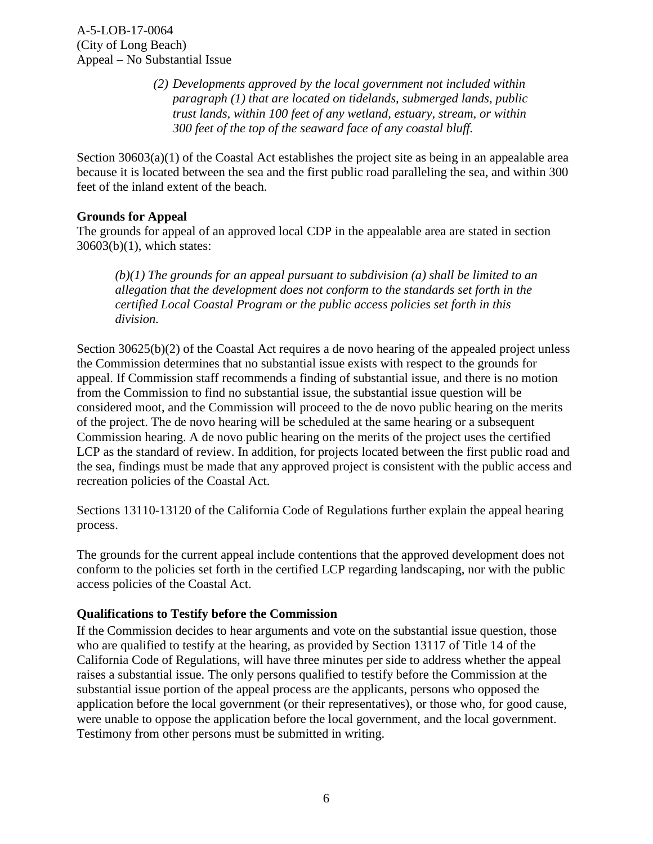*(2) Developments approved by the local government not included within paragraph (1) that are located on tidelands, submerged lands, public trust lands, within 100 feet of any wetland, estuary, stream, or within 300 feet of the top of the seaward face of any coastal bluff.*

Section 30603(a)(1) of the Coastal Act establishes the project site as being in an appealable area because it is located between the sea and the first public road paralleling the sea, and within 300 feet of the inland extent of the beach.

#### **Grounds for Appeal**

The grounds for appeal of an approved local CDP in the appealable area are stated in section 30603(b)(1), which states:

*(b)(1) The grounds for an appeal pursuant to subdivision (a) shall be limited to an allegation that the development does not conform to the standards set forth in the certified Local Coastal Program or the public access policies set forth in this division.* 

Section 30625(b)(2) of the Coastal Act requires a de novo hearing of the appealed project unless the Commission determines that no substantial issue exists with respect to the grounds for appeal. If Commission staff recommends a finding of substantial issue, and there is no motion from the Commission to find no substantial issue, the substantial issue question will be considered moot, and the Commission will proceed to the de novo public hearing on the merits of the project. The de novo hearing will be scheduled at the same hearing or a subsequent Commission hearing. A de novo public hearing on the merits of the project uses the certified LCP as the standard of review. In addition, for projects located between the first public road and the sea, findings must be made that any approved project is consistent with the public access and recreation policies of the Coastal Act.

Sections 13110-13120 of the California Code of Regulations further explain the appeal hearing process.

The grounds for the current appeal include contentions that the approved development does not conform to the policies set forth in the certified LCP regarding landscaping, nor with the public access policies of the Coastal Act.

#### **Qualifications to Testify before the Commission**

If the Commission decides to hear arguments and vote on the substantial issue question, those who are qualified to testify at the hearing, as provided by Section 13117 of Title 14 of the California Code of Regulations, will have three minutes per side to address whether the appeal raises a substantial issue. The only persons qualified to testify before the Commission at the substantial issue portion of the appeal process are the applicants, persons who opposed the application before the local government (or their representatives), or those who, for good cause, were unable to oppose the application before the local government, and the local government. Testimony from other persons must be submitted in writing.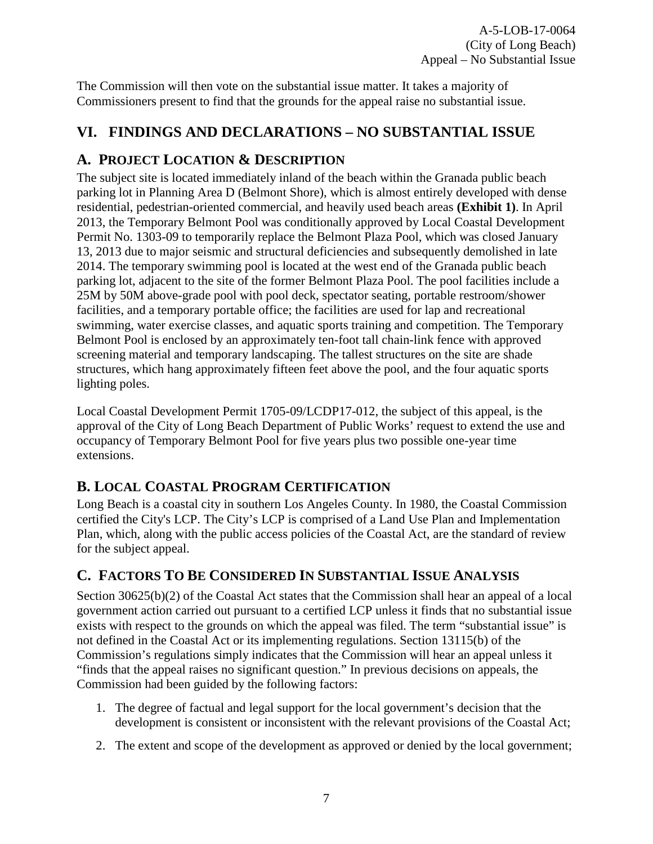The Commission will then vote on the substantial issue matter. It takes a majority of Commissioners present to find that the grounds for the appeal raise no substantial issue.

## <span id="page-6-0"></span>**VI. FINDINGS AND DECLARATIONS – NO SUBSTANTIAL ISSUE**

## <span id="page-6-1"></span>**A. PROJECT LOCATION & DESCRIPTION**

The subject site is located immediately inland of the beach within the Granada public beach parking lot in Planning Area D (Belmont Shore), which is almost entirely developed with dense residential, pedestrian-oriented commercial, and heavily used beach areas **(Exhibit 1)**. In April 2013, the Temporary Belmont Pool was conditionally approved by Local Coastal Development Permit No. 1303-09 to temporarily replace the Belmont Plaza Pool, which was closed January 13, 2013 due to major seismic and structural deficiencies and subsequently demolished in late 2014. The temporary swimming pool is located at the west end of the Granada public beach parking lot, adjacent to the site of the former Belmont Plaza Pool. The pool facilities include a 25M by 50M above-grade pool with pool deck, spectator seating, portable restroom/shower facilities, and a temporary portable office; the facilities are used for lap and recreational swimming, water exercise classes, and aquatic sports training and competition. The Temporary Belmont Pool is enclosed by an approximately ten-foot tall chain-link fence with approved screening material and temporary landscaping. The tallest structures on the site are shade structures, which hang approximately fifteen feet above the pool, and the four aquatic sports lighting poles.

Local Coastal Development Permit 1705-09/LCDP17-012, the subject of this appeal, is the approval of the City of Long Beach Department of Public Works' request to extend the use and occupancy of Temporary Belmont Pool for five years plus two possible one-year time extensions.

## <span id="page-6-2"></span>**B. LOCAL COASTAL PROGRAM CERTIFICATION**

Long Beach is a coastal city in southern Los Angeles County. In 1980, the Coastal Commission certified the City's LCP. The City's LCP is comprised of a Land Use Plan and Implementation Plan, which, along with the public access policies of the Coastal Act, are the standard of review for the subject appeal.

## <span id="page-6-3"></span>**C. FACTORS TO BE CONSIDERED IN SUBSTANTIAL ISSUE ANALYSIS**

Section 30625(b)(2) of the Coastal Act states that the Commission shall hear an appeal of a local government action carried out pursuant to a certified LCP unless it finds that no substantial issue exists with respect to the grounds on which the appeal was filed. The term "substantial issue" is not defined in the Coastal Act or its implementing regulations. Section 13115(b) of the Commission's regulations simply indicates that the Commission will hear an appeal unless it "finds that the appeal raises no significant question." In previous decisions on appeals, the Commission had been guided by the following factors:

- 1. The degree of factual and legal support for the local government's decision that the development is consistent or inconsistent with the relevant provisions of the Coastal Act;
- 2. The extent and scope of the development as approved or denied by the local government;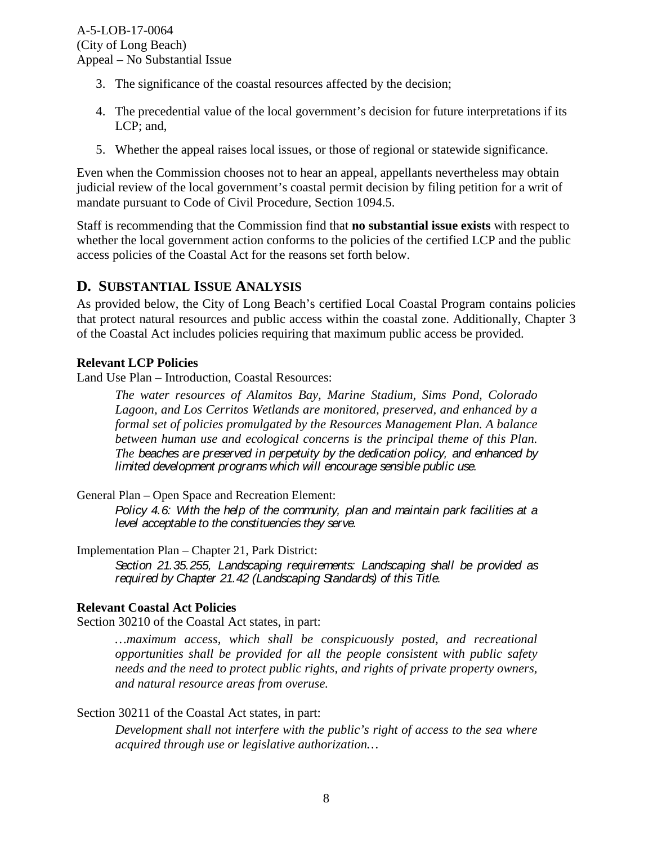- 3. The significance of the coastal resources affected by the decision;
- 4. The precedential value of the local government's decision for future interpretations if its LCP: and.
- 5. Whether the appeal raises local issues, or those of regional or statewide significance.

Even when the Commission chooses not to hear an appeal, appellants nevertheless may obtain judicial review of the local government's coastal permit decision by filing petition for a writ of mandate pursuant to Code of Civil Procedure, Section 1094.5.

Staff is recommending that the Commission find that **no substantial issue exists** with respect to whether the local government action conforms to the policies of the certified LCP and the public access policies of the Coastal Act for the reasons set forth below.

### <span id="page-7-0"></span>**D. SUBSTANTIAL ISSUE ANALYSIS**

As provided below, the City of Long Beach's certified Local Coastal Program contains policies that protect natural resources and public access within the coastal zone. Additionally, Chapter 3 of the Coastal Act includes policies requiring that maximum public access be provided.

#### **Relevant LCP Policies**

Land Use Plan – Introduction, Coastal Resources:

*The water resources of Alamitos Bay, Marine Stadium, Sims Pond, Colorado Lagoon, and Los Cerritos Wetlands are monitored, preserved, and enhanced by a formal set of policies promulgated by the Resources Management Plan. A balance between human use and ecological concerns is the principal theme of this Plan. The beaches are preserved in perpetuity by the dedication policy, and enhanced by limited development programs which will encourage sensible public use.*

General Plan – Open Space and Recreation Element:

*Policy 4.6: With the help of the community, plan and maintain park facilities at a level acceptable to the constituencies they serve.*

Implementation Plan – Chapter 21, Park District:

*Section 21.35.255, Landscaping requirements: Landscaping shall be provided as required by Chapter 21.42 (Landscaping Standards) of this Title.*

#### **Relevant Coastal Act Policies**

Section 30210 of the Coastal Act states, in part:

*…maximum access, which shall be conspicuously posted, and recreational opportunities shall be provided for all the people consistent with public safety needs and the need to protect public rights, and rights of private property owners, and natural resource areas from overuse.* 

#### Section 30211 of the Coastal Act states, in part:

*Development shall not interfere with the public's right of access to the sea where acquired through use or legislative authorization…*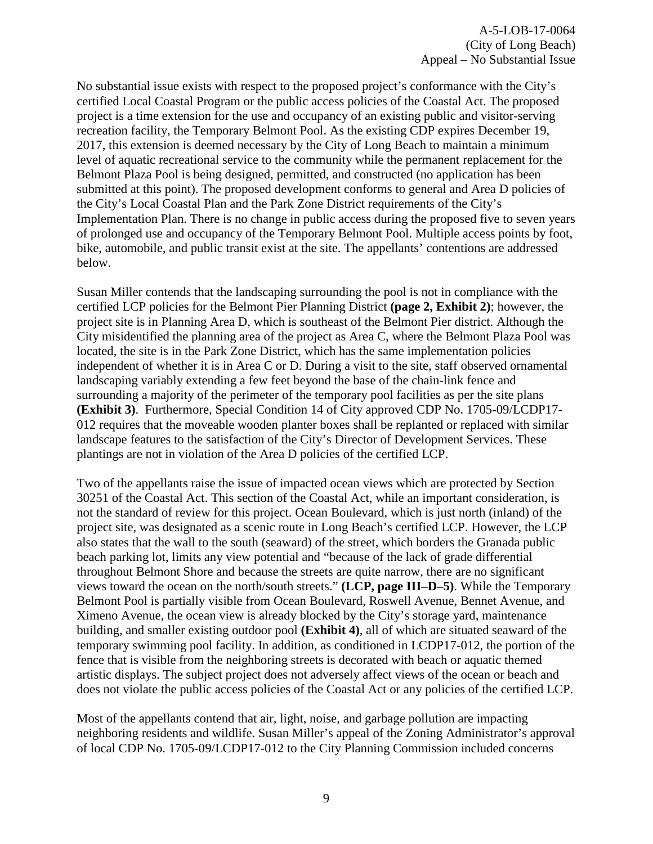No substantial issue exists with respect to the proposed project's conformance with the City's certified Local Coastal Program or the public access policies of the Coastal Act. The proposed project is a time extension for the use and occupancy of an existing public and visitor-serving recreation facility, the Temporary Belmont Pool. As the existing CDP expires December 19, 2017, this extension is deemed necessary by the City of Long Beach to maintain a minimum level of aquatic recreational service to the community while the permanent replacement for the Belmont Plaza Pool is being designed, permitted, and constructed (no application has been submitted at this point). The proposed development conforms to general and Area D policies of the City's Local Coastal Plan and the Park Zone District requirements of the City's Implementation Plan. There is no change in public access during the proposed five to seven years of prolonged use and occupancy of the Temporary Belmont Pool. Multiple access points by foot, bike, automobile, and public transit exist at the site. The appellants' contentions are addressed below.

Susan Miller contends that the landscaping surrounding the pool is not in compliance with the certified LCP policies for the Belmont Pier Planning District **(page 2, Exhibit 2)**; however, the project site is in Planning Area D, which is southeast of the Belmont Pier district. Although the City misidentified the planning area of the project as Area C, where the Belmont Plaza Pool was located, the site is in the Park Zone District, which has the same implementation policies independent of whether it is in Area C or D. During a visit to the site, staff observed ornamental landscaping variably extending a few feet beyond the base of the chain-link fence and surrounding a majority of the perimeter of the temporary pool facilities as per the site plans **(Exhibit 3)**. Furthermore, Special Condition 14 of City approved CDP No. 1705-09/LCDP17- 012 requires that the moveable wooden planter boxes shall be replanted or replaced with similar landscape features to the satisfaction of the City's Director of Development Services. These plantings are not in violation of the Area D policies of the certified LCP.

Two of the appellants raise the issue of impacted ocean views which are protected by Section 30251 of the Coastal Act. This section of the Coastal Act, while an important consideration, is not the standard of review for this project. Ocean Boulevard, which is just north (inland) of the project site, was designated as a scenic route in Long Beach's certified LCP. However, the LCP also states that the wall to the south (seaward) of the street, which borders the Granada public beach parking lot, limits any view potential and "because of the lack of grade differential throughout Belmont Shore and because the streets are quite narrow, there are no significant views toward the ocean on the north/south streets." **(LCP, page III–D–5)**. While the Temporary Belmont Pool is partially visible from Ocean Boulevard, Roswell Avenue, Bennet Avenue, and Ximeno Avenue, the ocean view is already blocked by the City's storage yard, maintenance building, and smaller existing outdoor pool **(Exhibit 4)**, all of which are situated seaward of the temporary swimming pool facility. In addition, as conditioned in LCDP17-012, the portion of the fence that is visible from the neighboring streets is decorated with beach or aquatic themed artistic displays. The subject project does not adversely affect views of the ocean or beach and does not violate the public access policies of the Coastal Act or any policies of the certified LCP.

Most of the appellants contend that air, light, noise, and garbage pollution are impacting neighboring residents and wildlife. Susan Miller's appeal of the Zoning Administrator's approval of local CDP No. 1705-09/LCDP17-012 to the City Planning Commission included concerns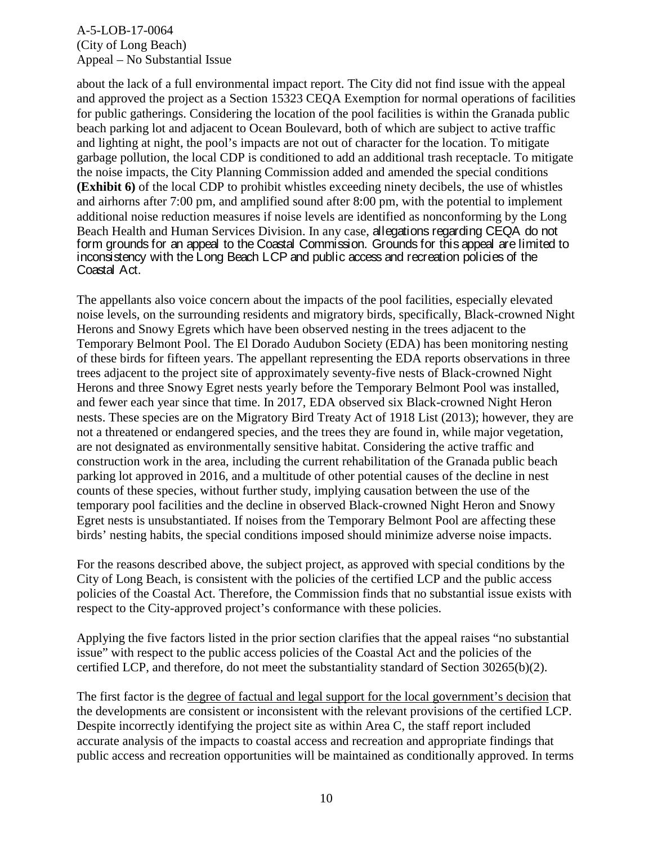A-5-LOB-17-0064 (City of Long Beach) Appeal – No Substantial Issue

about the lack of a full environmental impact report. The City did not find issue with the appeal and approved the project as a Section 15323 CEQA Exemption for normal operations of facilities for public gatherings. Considering the location of the pool facilities is within the Granada public beach parking lot and adjacent to Ocean Boulevard, both of which are subject to active traffic and lighting at night, the pool's impacts are not out of character for the location. To mitigate garbage pollution, the local CDP is conditioned to add an additional trash receptacle. To mitigate the noise impacts, the City Planning Commission added and amended the special conditions **(Exhibit 6)** of the local CDP to prohibit whistles exceeding ninety decibels, the use of whistles and airhorns after 7:00 pm, and amplified sound after 8:00 pm, with the potential to implement additional noise reduction measures if noise levels are identified as nonconforming by the Long Beach Health and Human Services Division. In any case, allegations regarding CEQA do not form grounds for an appeal to the Coastal Commission. Grounds for this appeal are limited to inconsistency with the Long Beach LCP and public access and recreation policies of the Coastal Act.

The appellants also voice concern about the impacts of the pool facilities, especially elevated noise levels, on the surrounding residents and migratory birds, specifically, Black-crowned Night Herons and Snowy Egrets which have been observed nesting in the trees adjacent to the Temporary Belmont Pool. The El Dorado Audubon Society (EDA) has been monitoring nesting of these birds for fifteen years. The appellant representing the EDA reports observations in three trees adjacent to the project site of approximately seventy-five nests of Black-crowned Night Herons and three Snowy Egret nests yearly before the Temporary Belmont Pool was installed, and fewer each year since that time. In 2017, EDA observed six Black-crowned Night Heron nests. These species are on the Migratory Bird Treaty Act of 1918 List (2013); however, they are not a threatened or endangered species, and the trees they are found in, while major vegetation, are not designated as environmentally sensitive habitat. Considering the active traffic and construction work in the area, including the current rehabilitation of the Granada public beach parking lot approved in 2016, and a multitude of other potential causes of the decline in nest counts of these species, without further study, implying causation between the use of the temporary pool facilities and the decline in observed Black-crowned Night Heron and Snowy Egret nests is unsubstantiated. If noises from the Temporary Belmont Pool are affecting these birds' nesting habits, the special conditions imposed should minimize adverse noise impacts.

For the reasons described above, the subject project, as approved with special conditions by the City of Long Beach, is consistent with the policies of the certified LCP and the public access policies of the Coastal Act. Therefore, the Commission finds that no substantial issue exists with respect to the City-approved project's conformance with these policies.

Applying the five factors listed in the prior section clarifies that the appeal raises "no substantial issue" with respect to the public access policies of the Coastal Act and the policies of the certified LCP, and therefore, do not meet the substantiality standard of Section 30265(b)(2).

The first factor is the degree of factual and legal support for the local government's decision that the developments are consistent or inconsistent with the relevant provisions of the certified LCP. Despite incorrectly identifying the project site as within Area C, the staff report included accurate analysis of the impacts to coastal access and recreation and appropriate findings that public access and recreation opportunities will be maintained as conditionally approved. In terms